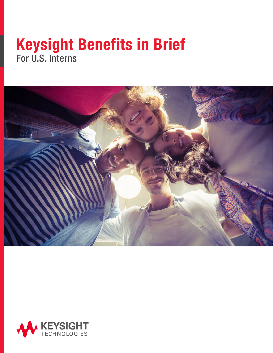## Keysight Benefits in Brief For U.S. Interns



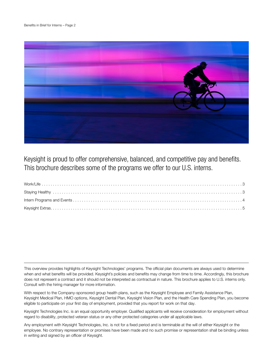

Keysight is proud to offer comprehensive, balanced, and competitive pay and benefits. This brochure describes some of the programs we offer to our U.S. interns.

This overview provides highlights of Keysight Technologies' programs. The official plan documents are always used to determine when and what benefits will be provided. Keysight's policies and benefits may change from time to time. Accordingly, this brochure does not represent a contract and it should not be interpreted as contractual in nature. This brochure applies to U.S. interns only. Consult with the hiring manager for more information.

With respect to the Company-sponsored group health plans, such as the Keysight Employee and Family Assistance Plan, Keysight Medical Plan, HMO options, Keysight Dental Plan, Keysight Vision Plan, and the Health Care Spending Plan, you become eligible to participate on your first day of employment, provided that you report for work on that day.

Keysight Technologies Inc. is an equal opportunity employer. Qualified applicants will receive consideration for employment without regard to disability, protected veteran status or any other protected categories under all applicable laws.

Any employment with Keysight Technologies, Inc. is not for a fixed period and is terminable at the will of either Keysight or the employee. No contrary representation or promises have been made and no such promise or representation shall be binding unless in writing and signed by an officer of Keysight.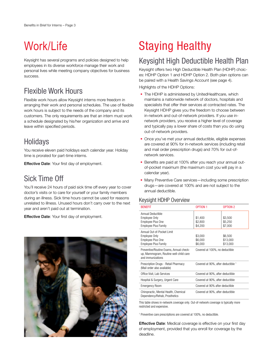## Work/Life

Keysight has several programs and policies designed to help employees in its diverse workforce manage their work and personal lives while meeting company objectives for business success.

## Flexible Work Hours

Flexible work hours allow Keysight interns more freedom in arranging their work and personal schedules. The use of flexible work hours is subject to the needs of the company and its customers. The only requirements are that an intern must work a schedule designated by his/her organization and arrive and leave within specified periods.

## Holidays

You receive eleven paid holidays each calendar year. Holiday time is prorated for part-time interns.

Effective Date: Your first day of employment.

### Sick Time Off

You'll receive 24 hours of paid sick time off every year to cover doctor's visits or to care for yourself or your family members during an illness. Sick time hours cannot be used for reasons unrelated to illness. Unused hours don't carry over to the next year and aren't paid out at termination.

**Effective Date: Your first day of employment.** 



# Staying Healthy

### Keysight High Deductible Health Plan

Keysight offers two High Deductible Health Plan (HDHP) choices: HDHP Option 1 and HDHP Option 2. Both plan options can be paired with a Health Savings Account (see page 4).

Highlights of the HDHP Options:

- The HDHP is administered by UnitedHealthcare, which maintains a nationwide network of doctors, hospitals and specialists that offer their services at contracted rates. The Keysight HDHP gives you the freedom to choose between in-network and out-of-network providers. If you use innetwork providers, you receive a higher level of coverage and typically pay a lower share of costs than you do using out-of-network providers.
- Once you've met your annual deductible, eligible expenses are covered at 90% for in-network services (including retail and mail order prescription drugs) and 70% for out-ofnetwork services.
- Benefits are paid at 100% after you reach your annual outof-pocket maximum (the maximum cost you will pay in a calendar year).
- Many Preventive Care services—including some prescription drugs—are covered at 100% and are not subject to the annual deductible.

#### Keysight HDHP Overview

| <b>BENEFIT</b>                                                                                         | <b>OPTION 1</b>                    | <b>OPTION 2</b>                 |  |
|--------------------------------------------------------------------------------------------------------|------------------------------------|---------------------------------|--|
| Annual Deductible<br>Employee Only<br>Employee Plus One<br><b>Employee Plus Family</b>                 | \$1,400<br>\$2,800<br>\$4,200      | \$3,500<br>\$5,250<br>\$7,000   |  |
| Annual Out-of-Pocket Limit<br>Employee Only<br>Employee Plus One<br><b>Employee Plus Family</b>        | \$3,000<br>\$6,000<br>\$6,000      | \$6,500<br>\$13,000<br>\$13,000 |  |
| Preventive/Routine Exams, Annual check-<br>up, Mammogram, Routine well-child care<br>and immunizations | Covered at 100%, no deductible     |                                 |  |
| Prescription Drugs - Retail Pharmacy<br>(Mail order also available)                                    | Covered at 90%, after deductible 1 |                                 |  |
| Office Visit, Lab Services                                                                             | Covered at 90%, after deductible   |                                 |  |
| Hospital & Surgery, Urgent Care                                                                        | Covered at 90%, after deductible   |                                 |  |
| <b>Emergency Room</b>                                                                                  | Covered at 90% after deductible    |                                 |  |
| Chiropractic, Mental Health, Chemical<br>Dependency/Rehab, Prosthetics                                 | Covered at 90%, after deductible   |                                 |  |

This table shows in-network coverage only. Out-of-network coverage is typically more restricted and expensive.

1 Preventive care prescriptions are covered at 100%, no deductible.

**Effective Date:** Medical coverage is effective on your first day of employment, provided that you enroll for coverage by the deadline.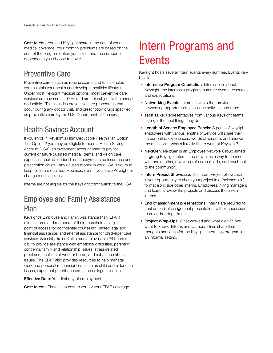Cost to You: You and Keysight share in the cost of your medical coverage. Your monthly premiums are based on the cost of the program option you select and the number of dependents you choose to cover.

## Preventive Care

Preventive care – such as routine exams and tests – helps you maintain your health and develop a healthier lifestyle. Under most Keysight medical options, most preventive care services are covered at 100% and are not subject to the annual deductible. This includes preventive care procedures that occur during any doctor visit, and prescription drugs specified as preventive care by the U.S. Department of Treasury.

## Health Savings Account

If you enroll in Keysight's High Deductible Health Plan Option 1 or Option 2 you may be eligible to open a Health Savings Account (HSA), an investment account used to pay for current or future qualified medical, dental and vision care expenses, such as deductibles, copayments, coinsurance and prescription drugs. Any unused money in your HSA is yours to keep for future qualified expenses, even if you leave Keysight or change medical plans.

Interns are not eligible for the Keysight contribution to the HSA.

## Employee and Family Assistance Plan

Keysight's Employee and Family Assistance Plan (EFAP) offers interns and members of their household a single point of access for confidential counseling, limited legal and financial assistance, and referral assistance for child/elder care services. Specially-trained clinicians are available 24 hours a day to provide assistance with emotional difficulties, parenting concerns, family and relationship issues, stress-related problems, conflicts at work or home, and substance abuse issues. The EFAP also provides resources to help manage work and personal responsibilities, such as child and elder care issues, expectant parent concerns and college selection.

**Effective Date: Your first day of employment.** 

Cost to You: There is no cost to you for your EFAP coverage.

## Intern Programs and **Events**

Keysight hosts several intern events every summer. Events vary by site.

- Internship Program Orientation: Interns learn about Keysight, the internship program, summer events, resources and expectations.
- Networking Events: Informal events that provide networking opportunities, challenge activities and more.
- Tech Talks: Representatives from various Keysight teams highlight the cool things they do.
- Length of Service Employee Panels: A panel of Keysight employees with various lengths of Service will share their career paths, experiences, words of wisdom, and answer the question… what's it really like to work at Keysight?
- NextGen: NextGen is an Employee Network Group aimed at giving Keysight interns and new hires a way to connect with one another, develop professional skills, and reach out to the community.
- Intern Project Showcase: The Intern Project Showcase is your opportunity to share your project in a "science fair" format alongside other interns. Employees, hiring managers and leaders review the projects and discuss them with interns.
- End of assignment presentations: Interns are required to host an end-of-assignment presentation to their supervisors, team and/or department.
- Project Wrap-Ups: What worked and what didn't? We want to know. Interns and Campus Hires share their thoughts and ideas for the Keysight internship program in an informal setting.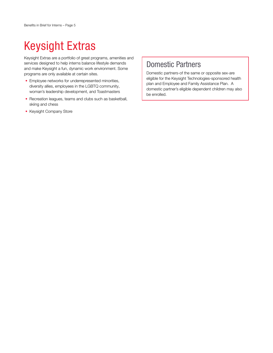# Keysight Extras

Keysight Extras are a portfolio of great programs, amenities and services designed to help interns balance lifestyle demands and make Keysight a fun, dynamic work environment. Some programs are only available at certain sites.

- Employee networks for underrepresented minorities, diversity allies, employees in the LGBTQ community, woman's leadership development, and Toastmasters
- Recreation leagues, teams and clubs such as basketball, skiing and chess
- Keysight Company Store

## Domestic Partners

Domestic partners-of the same or opposite sex-are eligible for the Keysight Technologies-sponsored health plan and Employee and Family Assistance Plan. A domestic partner's eligible dependent children may also be enrolled.